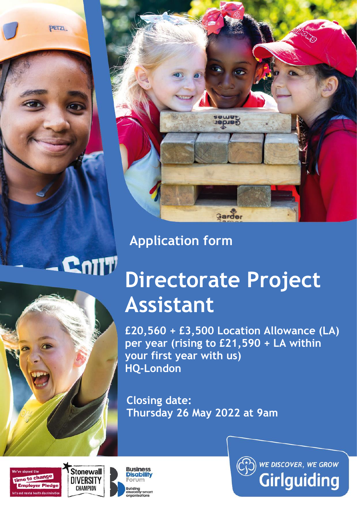PETZL



# **Application form**

# CnTIT



# **Directorate Project Assistant**

**£20,560 + £3,500 Location Allowance (LA) per year (rising to £21,590 + LA within your first year with us) HQ-London**

**Closing date: Thursday 26 May 2022 at 9am**







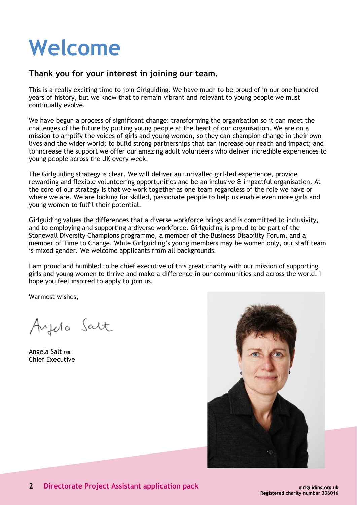# **Welcome**

# **Thank you for your interest in joining our team.**

This is a really exciting time to join Girlguiding. We have much to be proud of in our one hundred years of history, but we know that to remain vibrant and relevant to young people we must continually evolve.

We have begun a process of significant change: transforming the organisation so it can meet the challenges of the future by putting young people at the heart of our organisation. We are on a mission to amplify the voices of girls and young women, so they can champion change in their own lives and the wider world; to build strong partnerships that can increase our reach and impact; and to increase the support we offer our amazing adult volunteers who deliver incredible experiences to young people across the UK every week.

The Girlguiding strategy is clear. We will deliver an unrivalled girl-led experience, provide rewarding and flexible volunteering opportunities and be an inclusive & impactful organisation. At the core of our strategy is that we work together as one team regardless of the role we have or where we are. We are looking for skilled, passionate people to help us enable even more girls and young women to fulfil their potential.

Girlguiding values the differences that a diverse workforce brings and is committed to inclusivity, and to employing and supporting a diverse workforce. Girlguiding is proud to be part of the Stonewall Diversity Champions programme, a member of the Business Disability Forum, and a member of Time to Change. While Girlguiding's young members may be women only, our staff team is mixed gender. We welcome applicants from all backgrounds.

I am proud and humbled to be chief executive of this great charity with our mission of supporting girls and young women to thrive and make a difference in our communities and across the world. I hope you feel inspired to apply to join us.

Warmest wishes,

Ayela Salt

Angela Salt OBE Chief Executive

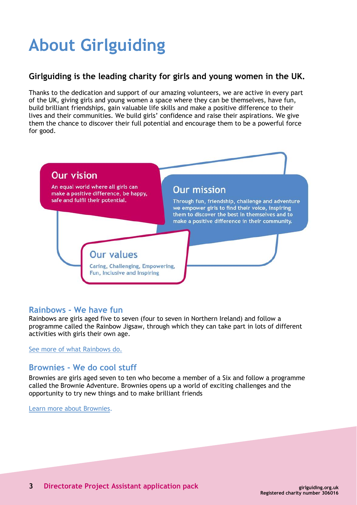# **About Girlguiding**

# **Girlguiding is the leading charity for girls and young women in the UK.**

Thanks to the dedication and support of our amazing volunteers, we are active in every part of the UK, giving girls and young women a space where they can be themselves, have fun, build brilliant friendships, gain valuable life skills and make a positive difference to their lives and their communities. We build girls' confidence and raise their aspirations. We give them the chance to discover their full potential and encourage them to be a powerful force for good.



# **Rainbows - We have fun**

Rainbows are girls aged five to seven (four to seven in Northern Ireland) and follow a programme called the Rainbow Jigsaw, through which they can take part in lots of different activities with girls their own age.

See more of [what Rainbows do.](http://www.girlguiding.org.uk/about_us/what_do_girls_in_guiding_do/rainbows.aspx)

# **Brownies - We do cool stuff**

Brownies are girls aged seven to ten who become a member of a Six and follow a programme called the Brownie Adventure. Brownies opens up a world of exciting challenges and the opportunity to try new things and to make brilliant friends

[Learn more about Brownies](http://www.girlguiding.org.uk/about_us/what_do_girls_in_guiding_do/brownies.aspx).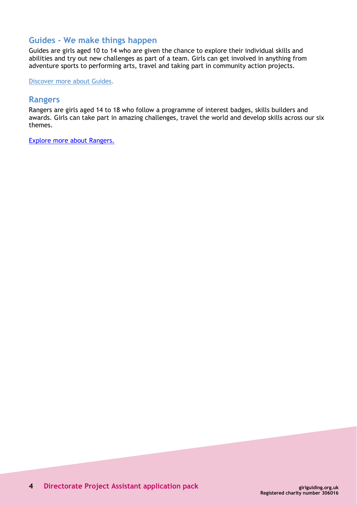# **Guides - We make things happen**

Guides are girls aged 10 to 14 who are given the chance to explore their individual skills and abilities and try out new challenges as part of a team. Girls can get involved in anything from adventure sports to performing arts, travel and taking part in community action projects.

[Discover more about Guides.](http://www.girlguiding.org.uk/about_us/what_do_girls_in_guiding_do/guides.aspx)

### **Rangers**

Rangers are girls aged 14 to 18 who follow a programme of interest badges, skills builders and awards. Girls can take part in amazing challenges, travel the world and develop skills across our six themes.

[Explore more about Rangers.](https://www.girlguiding.org.uk/what-we-do/rangers/all-about-rangers/)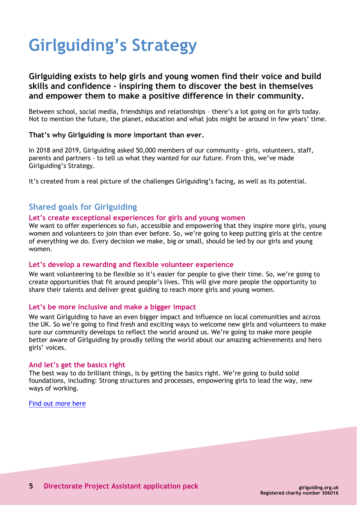# **Girlguiding's Strategy**

# **Girlguiding exists to help girls and young women find their voice and build skills and confidence - inspiring them to discover the best in themselves and empower them to make a positive difference in their community.**

Between school, social media, friendships and relationships – there's a lot going on for girls today. Not to mention the future, the planet, education and what jobs might be around in few years' time.

#### **That's why Girlguiding is more important than ever.**

In 2018 and 2019, Girlguiding asked 50,000 members of our community - girls, volunteers, staff, parents and partners - to tell us what they wanted for our future. From this, we've made Girlguiding's Strategy.

It's created from a real picture of the challenges Girlguiding's facing, as well as its potential.

# **Shared goals for Girlguiding**

#### **Let's create exceptional experiences for girls and young women**

We want to offer experiences so fun, accessible and empowering that they inspire more girls, young women and volunteers to join than ever before. So, we're going to keep putting girls at the centre of everything we do. Every decision we make, big or small, should be led by our girls and young women.

#### **Let's develop a rewarding and flexible volunteer experience**

We want volunteering to be flexible so it's easier for people to give their time. So, we're going to create opportunities that fit around people's lives. This will give more people the opportunity to share their talents and deliver great guiding to reach more girls and young women.

#### **Let's be more inclusive and make a bigger impact**

We want Girlguiding to have an even bigger impact and influence on local communities and across the UK. So we're going to find fresh and exciting ways to welcome new girls and volunteers to make sure our community develops to reflect the world around us. We're going to make more people better aware of Girlguiding by proudly telling the world about our amazing achievements and hero girls' voices.

#### **And let's get the basics right**

The best way to do brilliant things, is by getting the basics right. We're going to build solid foundations, including: Strong structures and processes, empowering girls to lead the way, new ways of working.

[Find out more here](https://www.girlguiding.org.uk/about-us/girlguidings-strategy/)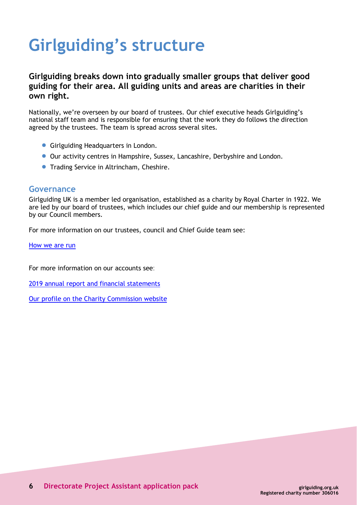# **Girlguiding's structure**

# **Girlguiding breaks down into gradually smaller groups that deliver good guiding for their area. All guiding units and areas are charities in their own right.**

Nationally, we're overseen by our board of trustees. Our chief executive heads Girlguiding's national staff team and is responsible for ensuring that the work they do follows the direction agreed by the trustees. The team is spread across several sites.

- **Girlguiding Headquarters in London.**
- Our activity centres in Hampshire, Sussex, Lancashire, Derbyshire and London.
- **Trading Service in Altrincham, Cheshire.**

### **Governance**

Girlguiding UK is a member led organisation, established as a charity by Royal Charter in 1922. We are led by our board of trustees, which includes our chief guide and our membership is represented by our Council members.

For more information on our trustees, council and Chief Guide team see:

[How we are run](https://www.girlguiding.org.uk/about-us/our-organisation/how-girlguiding-is-run/)

For more information on our accounts see:

2019 annual report and financial [statements](https://www.girlguiding.org.uk/globalassets/docs-and-resources/quality-and-compliance/annual-report-2019.pdf)

Our profile on the Charity [Commission](http://www.charitycommission.gov.uk/search-for-a-charity/?txt=306016) website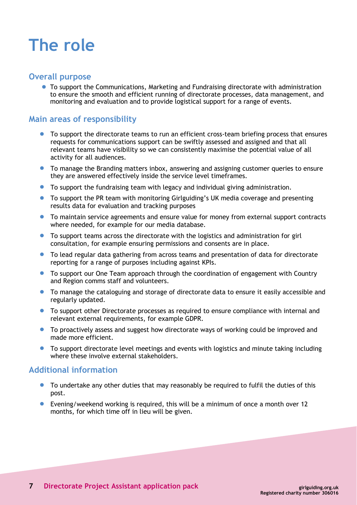# **The role**

### **Overall purpose**

• To support the Communications, Marketing and Fundraising directorate with administration to ensure the smooth and efficient running of directorate processes, data management, and monitoring and evaluation and to provide logistical support for a range of events.

# **Main areas of responsibility**

- To support the directorate teams to run an efficient cross-team briefing process that ensures requests for communications support can be swiftly assessed and assigned and that all relevant teams have visibility so we can consistently maximise the potential value of all activity for all audiences.
- To manage the Branding matters inbox, answering and assigning customer queries to ensure they are answered effectively inside the service level timeframes.
- To support the fundraising team with legacy and individual giving administration.
- To support the PR team with monitoring Girlguiding's UK media coverage and presenting results data for evaluation and tracking purposes
- To maintain service agreements and ensure value for money from external support contracts where needed, for example for our media database.
- To support teams across the directorate with the logistics and administration for girl consultation, for example ensuring permissions and consents are in place.
- To lead regular data gathering from across teams and presentation of data for directorate reporting for a range of purposes including against KPIs.
- To support our One Team approach through the coordination of engagement with Country and Region comms staff and volunteers.
- To manage the cataloguing and storage of directorate data to ensure it easily accessible and regularly updated.
- To support other Directorate processes as required to ensure compliance with internal and relevant external requirements, for example GDPR.
- To proactively assess and suggest how directorate ways of working could be improved and made more efficient.
- To support directorate level meetings and events with logistics and minute taking including where these involve external stakeholders.

### **Additional information**

- To undertake any other duties that may reasonably be required to fulfil the duties of this post.
- Evening/weekend working is required, this will be a minimum of once a month over 12 months, for which time off in lieu will be given.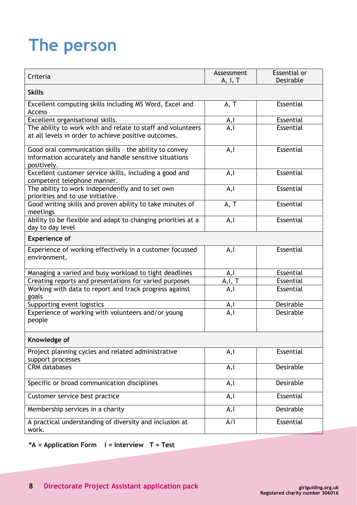# **The person**

| Criteria                                                                                                                        | Assessment<br>A, I, T | Essential or<br>Desirable |
|---------------------------------------------------------------------------------------------------------------------------------|-----------------------|---------------------------|
| <b>Skills</b>                                                                                                                   |                       |                           |
| Excellent computing skills including MS Word, Excel and<br><b>Access</b>                                                        | A, T                  | Essential                 |
| Excellent organisational skills.                                                                                                | A,I                   | Essential                 |
| The ability to work with and relate to staff and volunteers<br>at all levels in order to achieve positive outcomes.             | A, I                  | Essential                 |
| Good oral communication skills - the ability to convey<br>information accurately and handle sensitive situations<br>positively. | A, I                  | Essential                 |
| Excellent customer service skills, including a good and<br>competent telephone manner.                                          | A, I                  | Essential                 |
| The ability to work independently and to set own<br>priorities and to use initiative.                                           | A, I                  | Essential                 |
| Good writing skills and proven ability to take minutes of<br>meetings                                                           | A, T                  | Essential                 |
| Ability to be flexible and adapt to changing priorities at a<br>day to day level                                                | A, I                  | Essential                 |
| <b>Experience of</b>                                                                                                            |                       |                           |
| Experience of working effectively in a customer focussed<br>environment.                                                        | A, I                  | Essential                 |
| Managing a varied and busy workload to tight deadlines                                                                          | A,l                   | Essential                 |
| Creating reports and presentations for varied purposes                                                                          | A, I, T               | Essential                 |
| Working with data to report and track progress against<br>goals                                                                 | A,l                   | Essential                 |
| Supporting event logistics                                                                                                      | A,I                   | Desirable                 |
| Experience of working with volunteers and/or young<br>people                                                                    | A, I                  | Desirable                 |
| Knowledge of                                                                                                                    |                       |                           |
| Project planning cycles and related administrative<br>support processes                                                         | A, I                  | Essential                 |
| <b>CRM</b> databases                                                                                                            | A, I                  | <b>Desirable</b>          |
| Specific or broad communication disciplines                                                                                     | A, I                  | Desirable                 |
| Customer service best practice                                                                                                  | A, I                  | Essential                 |
| Membership services in a charity                                                                                                | A, I                  | <b>Desirable</b>          |
| A practical understanding of diversity and inclusion at<br>work.                                                                | A/I                   | Essential                 |

# **\*A = Application Form I = Interview T = Test**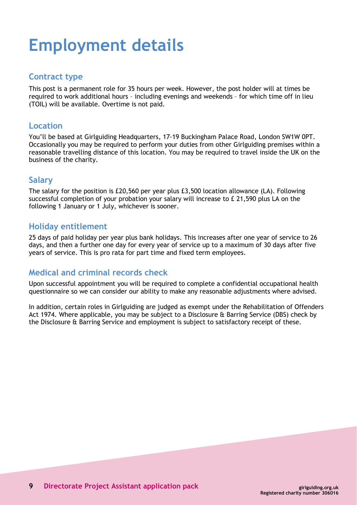# **Employment details**

# **Contract type**

This post is a permanent role for 35 hours per week. However, the post holder will at times be required to work additional hours – including evenings and weekends – for which time off in lieu (TOIL) will be available. Overtime is not paid.

## **Location**

You'll be based at Girlguiding Headquarters, 17-19 Buckingham Palace Road, London SW1W 0PT. Occasionally you may be required to perform your duties from other Girlguiding premises within a reasonable travelling distance of this location. You may be required to travel inside the UK on the business of the charity.

# **Salary**

The salary for the position is £20,560 per year plus £3,500 location allowance (LA). Following successful completion of your probation your salary will increase to £ 21,590 plus LA on the following 1 January or 1 July, whichever is sooner.

# **Holiday entitlement**

25 days of paid holiday per year plus bank holidays. This increases after one year of service to 26 days, and then a further one day for every year of service up to a maximum of 30 days after five years of service. This is pro rata for part time and fixed term employees.

# **Medical and criminal records check**

Upon successful appointment you will be required to complete a confidential occupational health questionnaire so we can consider our ability to make any reasonable adjustments where advised.

In addition, certain roles in Girlguiding are judged as exempt under the Rehabilitation of Offenders Act 1974. Where applicable, you may be subject to a Disclosure & Barring Service (DBS) check by the Disclosure & Barring Service and employment is subject to satisfactory receipt of these.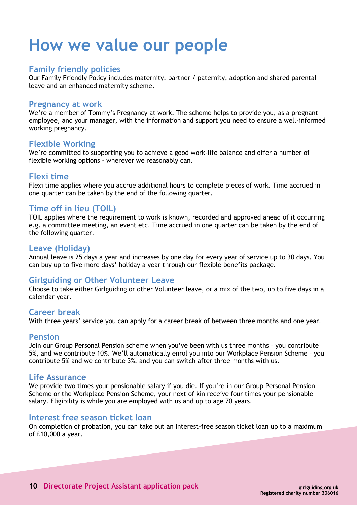# **How we value our people**

## **Family friendly policies**

Our Family Friendly Policy includes maternity, partner / paternity, adoption and shared parental leave and an enhanced maternity scheme.

#### **Pregnancy at work**

We're a member of Tommy's Pregnancy at work. The scheme helps to provide you, as a pregnant employee, and your manager, with the information and support you need to ensure a well-informed working pregnancy.

## **Flexible Working**

We're committed to supporting you to achieve a good work-life balance and offer a number of flexible working options - wherever we reasonably can.

## **Flexi time**

Flexi time applies where you accrue additional hours to complete pieces of work. Time accrued in one quarter can be taken by the end of the following quarter.

## **Time off in lieu (TOIL)**

TOIL applies where the requirement to work is known, recorded and approved ahead of it occurring e.g. a committee meeting, an event etc. Time accrued in one quarter can be taken by the end of the following quarter.

### **Leave (Holiday)**

Annual leave is 25 days a year and increases by one day for every year of service up to 30 days. You can buy up to five more days' holiday a year through our flexible benefits package.

# **Girlguiding or Other Volunteer Leave**

Choose to take either Girlguiding or other Volunteer leave, or a mix of the two, up to five days in a calendar year.

### **Career break**

With three years' service you can apply for a career break of between three months and one year.

#### **Pension**

Join our Group Personal Pension scheme when you've been with us three months – you contribute 5%, and we contribute 10%. We'll automatically enrol you into our Workplace Pension Scheme – you contribute 5% and we contribute 3%, and you can switch after three months with us.

### **Life Assurance**

We provide two times your pensionable salary if you die. If you're in our Group Personal Pension Scheme or the Workplace Pension Scheme, your next of kin receive four times your pensionable salary. Eligibility is while you are employed with us and up to age 70 years.

### **Interest free season ticket loan**

On completion of probation, you can take out an interest-free season ticket loan up to a maximum of £10,000 a year.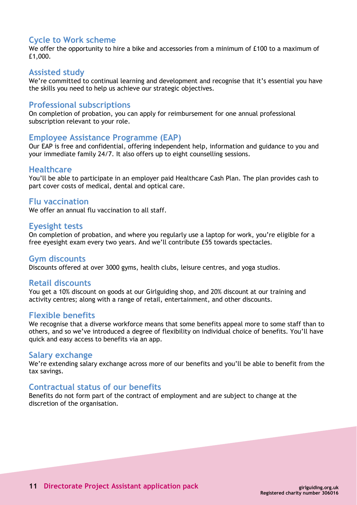# **Cycle to Work scheme**

We offer the opportunity to hire a bike and accessories from a minimum of £100 to a maximum of £1,000.

#### **Assisted study**

We're committed to continual learning and development and recognise that it's essential you have the skills you need to help us achieve our strategic objectives.

### **Professional subscriptions**

On completion of probation, you can apply for reimbursement for one annual professional subscription relevant to your role.

#### **Employee Assistance Programme (EAP)**

Our EAP is free and confidential, offering independent help, information and guidance to you and your immediate family 24/7. It also offers up to eight counselling sessions.

#### **Healthcare**

You'll be able to participate in an employer paid Healthcare Cash Plan. The plan provides cash to part cover costs of medical, dental and optical care.

#### **Flu vaccination**

We offer an annual flu vaccination to all staff.

#### **Eyesight tests**

On completion of probation, and where you regularly use a laptop for work, you're eligible for a free eyesight exam every two years. And we'll contribute £55 towards spectacles.

#### **Gym discounts**

Discounts offered at over 3000 gyms, health clubs, leisure centres, and yoga studios.

#### **Retail discounts**

You get a 10% discount on goods at our Girlguiding shop, and 20% discount at our training and activity centres; along with a range of retail, entertainment, and other discounts.

#### **Flexible benefits**

We recognise that a diverse workforce means that some benefits appeal more to some staff than to others, and so we've introduced a degree of flexibility on individual choice of benefits. You'll have quick and easy access to benefits via an app.

#### **Salary exchange**

We're extending salary exchange across more of our benefits and you'll be able to benefit from the tax savings.

### **Contractual status of our benefits**

Benefits do not form part of the contract of employment and are subject to change at the discretion of the organisation.